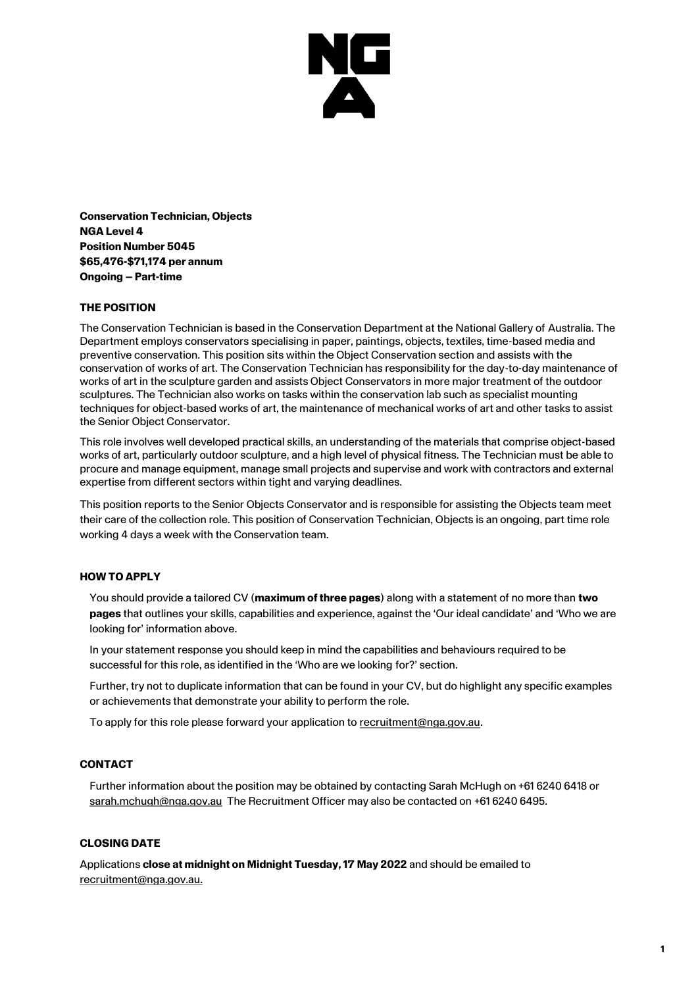

**Conservation Technician, Objects NGA Level 4 Position Number 5045 \$65,476-\$71,174 per annum Ongoing – Part-time**

## **THE POSITION**

The Conservation Technician is based in the Conservation Department at the National Gallery of Australia. The Department employs conservators specialising in paper, paintings, objects, textiles, time-based media and preventive conservation. This position sits within the Object Conservation section and assists with the conservation of works of art. The Conservation Technician has responsibility for the day-to-day maintenance of works of art in the sculpture garden and assists Object Conservators in more major treatment of the outdoor sculptures. The Technician also works on tasks within the conservation lab such as specialist mounting techniques for object-based works of art, the maintenance of mechanical works of art and other tasks to assist the Senior Object Conservator.

This role involves well developed practical skills, an understanding of the materials that comprise object-based works of art, particularly outdoor sculpture, and a high level of physical fitness. The Technician must be able to procure and manage equipment, manage small projects and supervise and work with contractors and external expertise from different sectors within tight and varying deadlines.

This position reports to the Senior Objects Conservator and is responsible for assisting the Objects team meet their care of the collection role. This position of Conservation Technician, Objects is an ongoing, part time role working 4 days a week with the Conservation team.

#### **HOW TO APPLY**

You should provide a tailored CV (**maximum of three pages**) along with a statement of no more than **two pages** that outlines your skills, capabilities and experience, against the 'Our ideal candidate' and 'Who we are looking for' information above.

In your statement response you should keep in mind the capabilities and behaviours required to be successful for this role, as identified in the 'Who are we looking for?' section.

Further, try not to duplicate information that can be found in your CV, but do highlight any specific examples or achievements that demonstrate your ability to perform the role.

To apply for this role please forward your application to [recruitment@nga.gov.au.](mailto:recruitment@nga.gov.au)

## **CONTACT**

Further information about the position may be obtained by contacting Sarah McHugh on +61 6240 6418 or [sarah.mchugh@nga.gov.au](mailto:sarah.mchugh@nga.gov.au) The Recruitment Officer may also be contacted on +61 6240 6495.

#### **CLOSING DATE**

Applications **close at midnight on Midnight Tuesday, 17 May 2022** and should be emailed to [recruitment@nga.gov.au.](file://///NGAVFS02/Groups/PubAffairs/29.%20Studio%20Ongarato/__REBRAND/HR/recruitment@nga.gov.au)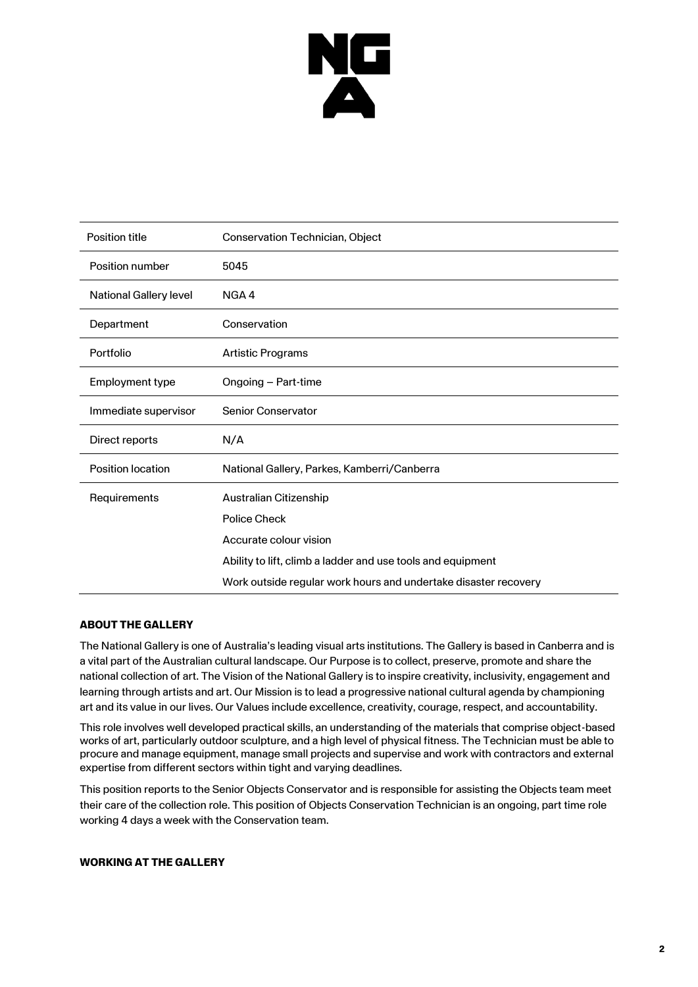

| <b>Position title</b>         | Conservation Technician, Object                                 |
|-------------------------------|-----------------------------------------------------------------|
| Position number               | 5045                                                            |
| <b>National Gallery level</b> | NGA4                                                            |
| Department                    | Conservation                                                    |
| Portfolio                     | <b>Artistic Programs</b>                                        |
| Employment type               | Ongoing - Part-time                                             |
| Immediate supervisor          | <b>Senior Conservator</b>                                       |
| Direct reports                | N/A                                                             |
| <b>Position location</b>      | National Gallery, Parkes, Kamberri/Canberra                     |
| Requirements                  | Australian Citizenship                                          |
|                               | <b>Police Check</b>                                             |
|                               | Accurate colour vision                                          |
|                               | Ability to lift, climb a ladder and use tools and equipment     |
|                               | Work outside regular work hours and undertake disaster recovery |

## **ABOUT THE GALLERY**

The National Gallery is one of Australia's leading visual arts institutions. The Gallery is based in Canberra and is a vital part of the Australian cultural landscape. Our Purpose is to collect, preserve, promote and share the national collection of art. The Vision of the National Gallery is to inspire creativity, inclusivity, engagement and learning through artists and art. Our Mission is to lead a progressive national cultural agenda by championing art and its value in our lives. Our Values include excellence, creativity, courage, respect, and accountability.

This role involves well developed practical skills, an understanding of the materials that comprise object-based works of art, particularly outdoor sculpture, and a high level of physical fitness. The Technician must be able to procure and manage equipment, manage small projects and supervise and work with contractors and external expertise from different sectors within tight and varying deadlines.

This position reports to the Senior Objects Conservator and is responsible for assisting the Objects team meet their care of the collection role. This position of Objects Conservation Technician is an ongoing, part time role working 4 days a week with the Conservation team.

## **WORKING AT THE GALLERY**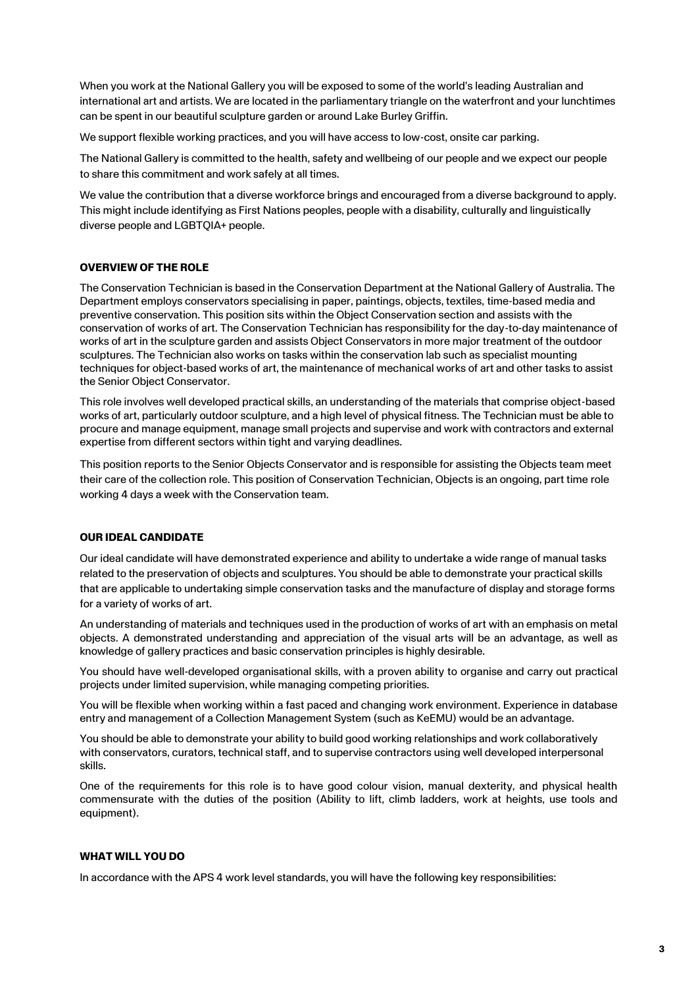When you work at the National Gallery you will be exposed to some of the world's leading Australian and international art and artists. We are located in the parliamentary triangle on the waterfront and your lunchtimes can be spent in our beautiful sculpture garden or around Lake Burley Griffin.

We support flexible working practices, and you will have access to low-cost, onsite car parking.

The National Gallery is committed to the health, safety and wellbeing of our people and we expect our people to share this commitment and work safely at all times.

We value the contribution that a diverse workforce brings and encouraged from a diverse background to apply. This might include identifying as First Nations peoples, people with a disability, culturally and linguistically diverse people and LGBTQIA+ people.

## **OVERVIEW OF THE ROLE**

The Conservation Technician is based in the Conservation Department at the National Gallery of Australia. The Department employs conservators specialising in paper, paintings, objects, textiles, time-based media and preventive conservation. This position sits within the Object Conservation section and assists with the conservation of works of art. The Conservation Technician has responsibility for the day-to-day maintenance of works of art in the sculpture garden and assists Object Conservators in more major treatment of the outdoor sculptures. The Technician also works on tasks within the conservation lab such as specialist mounting techniques for object-based works of art, the maintenance of mechanical works of art and other tasks to assist the Senior Object Conservator.

This role involves well developed practical skills, an understanding of the materials that comprise object-based works of art, particularly outdoor sculpture, and a high level of physical fitness. The Technician must be able to procure and manage equipment, manage small projects and supervise and work with contractors and external expertise from different sectors within tight and varying deadlines.

This position reports to the Senior Objects Conservator and is responsible for assisting the Objects team meet their care of the collection role. This position of Conservation Technician, Objects is an ongoing, part time role working 4 days a week with the Conservation team.

## **OUR IDEAL CANDIDATE**

Our ideal candidate will have demonstrated experience and ability to undertake a wide range of manual tasks related to the preservation of objects and sculptures. You should be able to demonstrate your practical skills that are applicable to undertaking simple conservation tasks and the manufacture of display and storage forms for a variety of works of art.

An understanding of materials and techniques used in the production of works of art with an emphasis on metal objects. A demonstrated understanding and appreciation of the visual arts will be an advantage, as well as knowledge of gallery practices and basic conservation principles is highly desirable.

You should have well-developed organisational skills, with a proven ability to organise and carry out practical projects under limited supervision, while managing competing priorities.

You will be flexible when working within a fast paced and changing work environment. Experience in database entry and management of a Collection Management System (such as KeEMU) would be an advantage.

You should be able to demonstrate your ability to build good working relationships and work collaboratively with conservators, curators, technical staff, and to supervise contractors using well developed interpersonal skills.

One of the requirements for this role is to have good colour vision, manual dexterity, and physical health commensurate with the duties of the position (Ability to lift, climb ladders, work at heights, use tools and equipment).

## **WHAT WILL YOU DO**

In accordance with the APS 4 work level standards, you will have the following key responsibilities: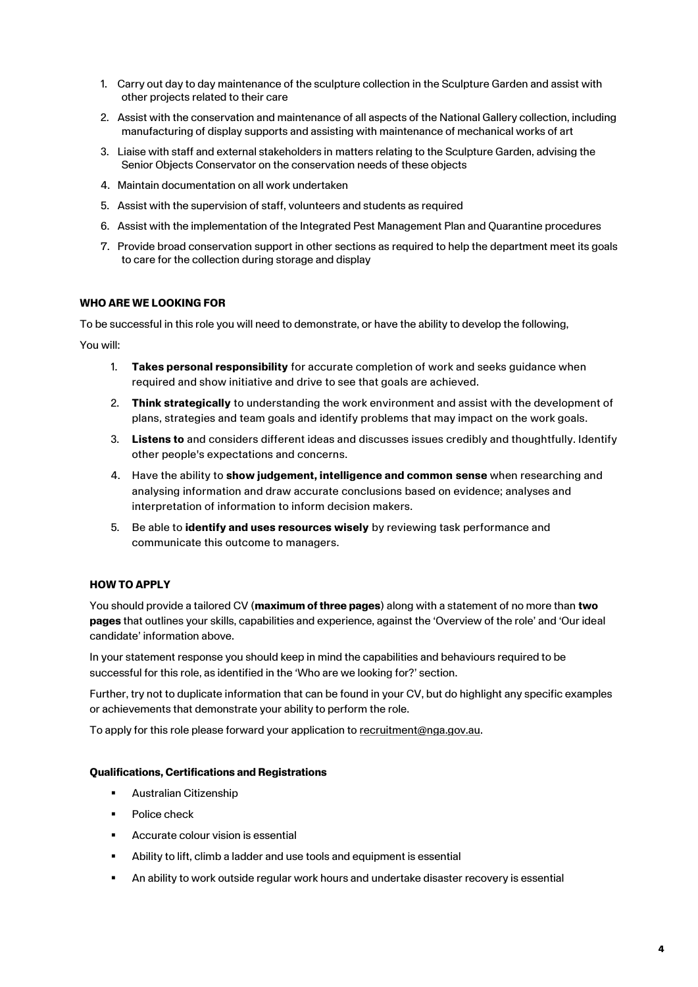- 1. Carry out day to day maintenance of the sculpture collection in the Sculpture Garden and assist with other projects related to their care
- 2. Assist with the conservation and maintenance of all aspects of the National Gallery collection, including manufacturing of display supports and assisting with maintenance of mechanical works of art
- 3. Liaise with staff and external stakeholders in matters relating to the Sculpture Garden, advising the Senior Objects Conservator on the conservation needs of these objects
- 4. Maintain documentation on all work undertaken
- 5. Assist with the supervision of staff, volunteers and students as required
- 6. Assist with the implementation of the Integrated Pest Management Plan and Quarantine procedures
- 7. Provide broad conservation support in other sections as required to help the department meet its goals to care for the collection during storage and display

## **WHO ARE WE LOOKING FOR**

To be successful in this role you will need to demonstrate, or have the ability to develop the following,

You will:

- 1. **Takes personal responsibility** for accurate completion of work and seeks guidance when required and show initiative and drive to see that goals are achieved.
- 2. **Think strategically** to understanding the work environment and assist with the development of plans, strategies and team goals and identify problems that may impact on the work goals.
- 3. **Listens to** and considers different ideas and discusses issues credibly and thoughtfully. Identify other people's expectations and concerns.
- 4. Have the ability to **show judgement, intelligence and common sense** when researching and analysing information and draw accurate conclusions based on evidence; analyses and interpretation of information to inform decision makers.
- 5. Be able to **identify and uses resources wisely** by reviewing task performance and communicate this outcome to managers.

## **HOW TO APPLY**

You should provide a tailored CV (**maximum of three pages**) along with a statement of no more than **two pages** that outlines your skills, capabilities and experience, against the 'Overview of the role' and 'Our ideal candidate' information above.

In your statement response you should keep in mind the capabilities and behaviours required to be successful for this role, as identified in the 'Who are we looking for?' section.

Further, try not to duplicate information that can be found in your CV, but do highlight any specific examples or achievements that demonstrate your ability to perform the role.

To apply for this role please forward your application to [recruitment@nga.gov.au.](mailto:recruitment@nga.gov.au)

## **Qualifications, Certifications and Registrations**

- **Australian Citizenship**
- Police check
- Accurate colour vision is essential
- Ability to lift, climb a ladder and use tools and equipment is essential
- An ability to work outside regular work hours and undertake disaster recovery is essential